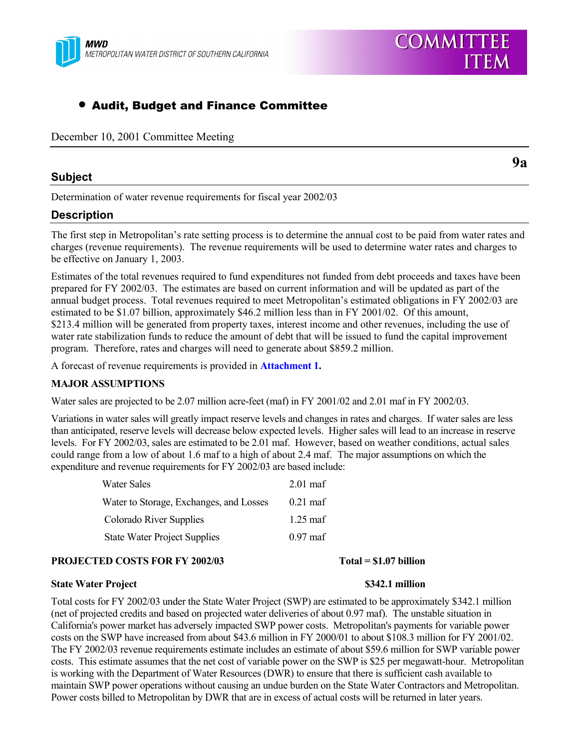

# • Audit, Budget and Finance Committee

December 10, 2001 Committee Meeting

## **Subject**

**9a**

Determination of water revenue requirements for fiscal year 2002/03

# **Description**

The first step in Metropolitanís rate setting process is to determine the annual cost to be paid from water rates and charges (revenue requirements). The revenue requirements will be used to determine water rates and charges to be effective on January 1, 2003.

Estimates of the total revenues required to fund expenditures not funded from debt proceeds and taxes have been prepared for FY 2002/03. The estimates are based on current information and will be updated as part of the annual budget process. Total revenues required to meet Metropolitan's estimated obligations in FY 2002/03 are estimated to be \$1.07 billion, approximately \$46.2 million less than in FY 2001/02. Of this amount, \$213.4 million will be generated from property taxes, interest income and other revenues, including the use of water rate stabilization funds to reduce the amount of debt that will be issued to fund the capital improvement program. Therefore, rates and charges will need to generate about \$859.2 million.

A forecast of revenue requirements is provided in **Attachment 1.**

### **MAJOR ASSUMPTIONS**

Water sales are projected to be 2.07 million acre-feet (maf) in FY 2001/02 and 2.01 maf in FY 2002/03.

Variations in water sales will greatly impact reserve levels and changes in rates and charges. If water sales are less than anticipated, reserve levels will decrease below expected levels. Higher sales will lead to an increase in reserve levels. For FY 2002/03, sales are estimated to be 2.01 maf. However, based on weather conditions, actual sales could range from a low of about 1.6 maf to a high of about 2.4 maf. The major assumptions on which the expenditure and revenue requirements for FY 2002/03 are based include:

| Water Sales                             | $2.01$ maf         |
|-----------------------------------------|--------------------|
| Water to Storage, Exchanges, and Losses | $0.21$ maf         |
| Colorado River Supplies                 | $1.25 \text{ maf}$ |
| <b>State Water Project Supplies</b>     | $0.97$ maf         |

### **PROJECTED COSTS FOR FY 2002/03** Total = \$1.07 billion

### **State Water Project 1986 State Water Project 1986 S342.1 million**

Total costs for FY 2002/03 under the State Water Project (SWP) are estimated to be approximately \$342.1 million (net of projected credits and based on projected water deliveries of about 0.97 maf). The unstable situation in California's power market has adversely impacted SWP power costs. Metropolitan's payments for variable power costs on the SWP have increased from about \$43.6 million in FY 2000/01 to about \$108.3 million for FY 2001/02. The FY 2002/03 revenue requirements estimate includes an estimate of about \$59.6 million for SWP variable power costs. This estimate assumes that the net cost of variable power on the SWP is \$25 per megawatt-hour. Metropolitan is working with the Department of Water Resources (DWR) to ensure that there is sufficient cash available to maintain SWP power operations without causing an undue burden on the State Water Contractors and Metropolitan. Power costs billed to Metropolitan by DWR that are in excess of actual costs will be returned in later years.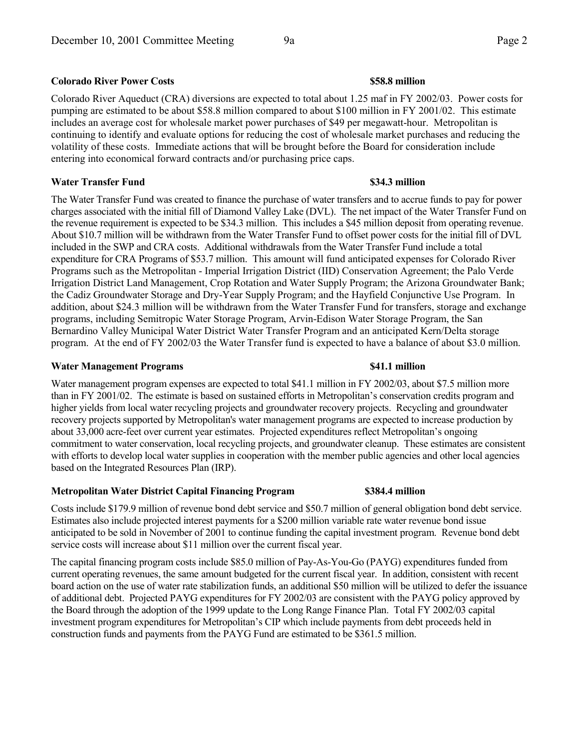## **Colorado River Power Costs \$58.8 million**

Colorado River Aqueduct (CRA) diversions are expected to total about 1.25 maf in FY 2002/03. Power costs for pumping are estimated to be about \$58.8 million compared to about \$100 million in FY 2001/02. This estimate includes an average cost for wholesale market power purchases of \$49 per megawatt-hour. Metropolitan is continuing to identify and evaluate options for reducing the cost of wholesale market purchases and reducing the volatility of these costs. Immediate actions that will be brought before the Board for consideration include entering into economical forward contracts and/or purchasing price caps.

### **Water Transfer Fund \$34.3 million**

The Water Transfer Fund was created to finance the purchase of water transfers and to accrue funds to pay for power charges associated with the initial fill of Diamond Valley Lake (DVL). The net impact of the Water Transfer Fund on the revenue requirement is expected to be \$34.3 million. This includes a \$45 million deposit from operating revenue. About \$10.7 million will be withdrawn from the Water Transfer Fund to offset power costs for the initial fill of DVL included in the SWP and CRA costs. Additional withdrawals from the Water Transfer Fund include a total expenditure for CRA Programs of \$53.7 million. This amount will fund anticipated expenses for Colorado River Programs such as the Metropolitan - Imperial Irrigation District (IID) Conservation Agreement; the Palo Verde Irrigation District Land Management, Crop Rotation and Water Supply Program; the Arizona Groundwater Bank; the Cadiz Groundwater Storage and Dry-Year Supply Program; and the Hayfield Conjunctive Use Program. In addition, about \$24.3 million will be withdrawn from the Water Transfer Fund for transfers, storage and exchange programs, including Semitropic Water Storage Program, Arvin-Edison Water Storage Program, the San Bernardino Valley Municipal Water District Water Transfer Program and an anticipated Kern/Delta storage program. At the end of FY 2002/03 the Water Transfer fund is expected to have a balance of about \$3.0 million.

### **Water Management Programs \$41.1 million**

Water management program expenses are expected to total \$41.1 million in FY 2002/03, about \$7.5 million more than in FY 2001/02. The estimate is based on sustained efforts in Metropolitan's conservation credits program and higher yields from local water recycling projects and groundwater recovery projects. Recycling and groundwater recovery projects supported by Metropolitan's water management programs are expected to increase production by about 33,000 acre-feet over current year estimates. Projected expenditures reflect Metropolitan's ongoing commitment to water conservation, local recycling projects, and groundwater cleanup. These estimates are consistent with efforts to develop local water supplies in cooperation with the member public agencies and other local agencies based on the Integrated Resources Plan (IRP).

### **Metropolitan Water District Capital Financing Program \$384.4 million**

Costs include \$179.9 million of revenue bond debt service and \$50.7 million of general obligation bond debt service. Estimates also include projected interest payments for a \$200 million variable rate water revenue bond issue anticipated to be sold in November of 2001 to continue funding the capital investment program. Revenue bond debt service costs will increase about \$11 million over the current fiscal year.

The capital financing program costs include \$85.0 million of Pay-As-You-Go (PAYG) expenditures funded from current operating revenues, the same amount budgeted for the current fiscal year. In addition, consistent with recent board action on the use of water rate stabilization funds, an additional \$50 million will be utilized to defer the issuance of additional debt. Projected PAYG expenditures for FY 2002/03 are consistent with the PAYG policy approved by the Board through the adoption of the 1999 update to the Long Range Finance Plan. Total FY 2002/03 capital investment program expenditures for Metropolitan's CIP which include payments from debt proceeds held in construction funds and payments from the PAYG Fund are estimated to be \$361.5 million.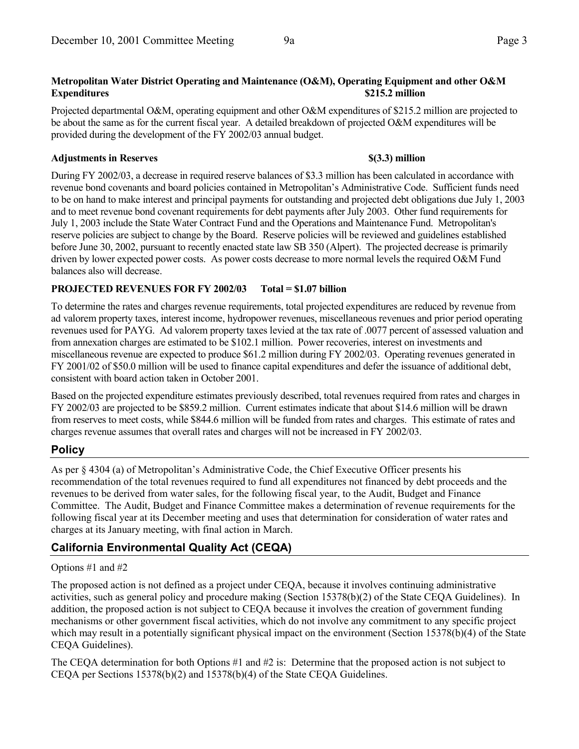# **Metropolitan Water District Operating and Maintenance (O&M), Operating Equipment and other O&M Expenditures \$215.2 million**

Projected departmental O&M, operating equipment and other O&M expenditures of \$215.2 million are projected to be about the same as for the current fiscal year. A detailed breakdown of projected O&M expenditures will be provided during the development of the FY 2002/03 annual budget.

## **Adjustments in Reserves \$(3.3) million**

During FY 2002/03, a decrease in required reserve balances of \$3.3 million has been calculated in accordance with revenue bond covenants and board policies contained in Metropolitan's Administrative Code. Sufficient funds need to be on hand to make interest and principal payments for outstanding and projected debt obligations due July 1, 2003 and to meet revenue bond covenant requirements for debt payments after July 2003. Other fund requirements for July 1, 2003 include the State Water Contract Fund and the Operations and Maintenance Fund. Metropolitan's reserve policies are subject to change by the Board. Reserve policies will be reviewed and guidelines established before June 30, 2002, pursuant to recently enacted state law SB 350 (Alpert). The projected decrease is primarily driven by lower expected power costs. As power costs decrease to more normal levels the required O&M Fund balances also will decrease.

# **PROJECTED REVENUES FOR FY 2002/03 Total = \$1.07 billion**

To determine the rates and charges revenue requirements, total projected expenditures are reduced by revenue from ad valorem property taxes, interest income, hydropower revenues, miscellaneous revenues and prior period operating revenues used for PAYG. Ad valorem property taxes levied at the tax rate of .0077 percent of assessed valuation and from annexation charges are estimated to be \$102.1 million. Power recoveries, interest on investments and miscellaneous revenue are expected to produce \$61.2 million during FY 2002/03. Operating revenues generated in FY 2001/02 of \$50.0 million will be used to finance capital expenditures and defer the issuance of additional debt, consistent with board action taken in October 2001.

Based on the projected expenditure estimates previously described, total revenues required from rates and charges in FY 2002/03 are projected to be \$859.2 million. Current estimates indicate that about \$14.6 million will be drawn from reserves to meet costs, while \$844.6 million will be funded from rates and charges. This estimate of rates and charges revenue assumes that overall rates and charges will not be increased in FY 2002/03.

# **Policy**

As per § 4304 (a) of Metropolitan's Administrative Code, the Chief Executive Officer presents his recommendation of the total revenues required to fund all expenditures not financed by debt proceeds and the revenues to be derived from water sales, for the following fiscal year, to the Audit, Budget and Finance Committee. The Audit, Budget and Finance Committee makes a determination of revenue requirements for the following fiscal year at its December meeting and uses that determination for consideration of water rates and charges at its January meeting, with final action in March.

# **California Environmental Quality Act (CEQA)**

# Options #1 and #2

The proposed action is not defined as a project under CEQA, because it involves continuing administrative activities, such as general policy and procedure making (Section 15378(b)(2) of the State CEQA Guidelines). In addition, the proposed action is not subject to CEQA because it involves the creation of government funding mechanisms or other government fiscal activities, which do not involve any commitment to any specific project which may result in a potentially significant physical impact on the environment (Section 15378(b)(4) of the State CEQA Guidelines).

The CEQA determination for both Options #1 and #2 is: Determine that the proposed action is not subject to CEQA per Sections 15378(b)(2) and 15378(b)(4) of the State CEQA Guidelines.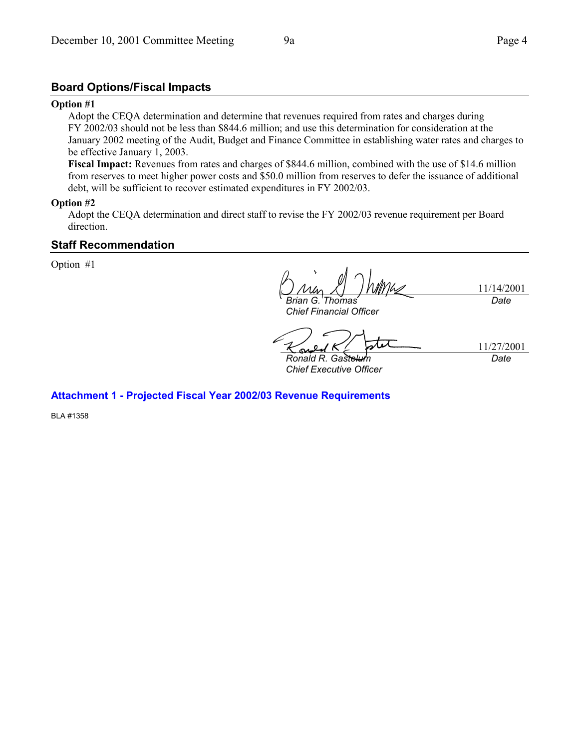# **Board Options/Fiscal Impacts**

### **Option #1**

Adopt the CEQA determination and determine that revenues required from rates and charges during FY 2002/03 should not be less than \$844.6 million; and use this determination for consideration at the January 2002 meeting of the Audit, Budget and Finance Committee in establishing water rates and charges to be effective January 1, 2003.

**Fiscal Impact:** Revenues from rates and charges of \$844.6 million, combined with the use of \$14.6 million from reserves to meet higher power costs and \$50.0 million from reserves to defer the issuance of additional debt, will be sufficient to recover estimated expenditures in FY 2002/03.

## **Option #2**

Adopt the CEQA determination and direct staff to revise the FY 2002/03 revenue requirement per Board direction.

## **Staff Recommendation**

Option #1

11/14/2001 *Brian G. Thomas Date*

*Chief Financial Officer*

11/27/2001 *Date*

*Ronald R. Gastelum Chief Executive Officer*

**Attachment 1 - Projected Fiscal Year 2002/03 Revenue Requirements**

BLA #1358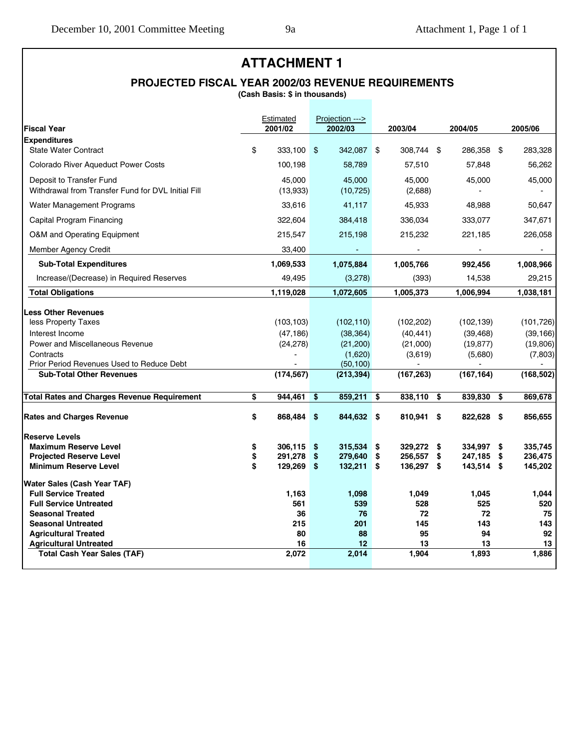# **ATTACHMENT 1**

# **PROJECTED FISCAL YEAR 2002/03 REVENUE REQUIREMENTS**

**(Cash Basis: \$ in thousands)**

| <b>Fiscal Year</b>                                 | Estimated<br>2001/02 |             | Projection ---><br>2002/03 | 2003/04       | 2004/05       |      | 2005/06    |
|----------------------------------------------------|----------------------|-------------|----------------------------|---------------|---------------|------|------------|
| <b>Expenditures</b>                                |                      |             |                            |               |               |      |            |
| <b>State Water Contract</b>                        | \$<br>333.100        | $$^{\circ}$ | 342,087 \$                 | 308.744 \$    | 286,358       | \$   | 283,328    |
| Colorado River Aqueduct Power Costs                | 100,198              |             | 58,789                     | 57,510        | 57,848        |      | 56,262     |
| Deposit to Transfer Fund                           | 45.000               |             | 45.000                     | 45.000        | 45,000        |      | 45,000     |
| Withdrawal from Transfer Fund for DVL Initial Fill | (13,933)             |             | (10, 725)                  | (2,688)       |               |      |            |
| <b>Water Management Programs</b>                   | 33,616               |             | 41,117                     | 45,933        | 48,988        |      | 50,647     |
| Capital Program Financing                          | 322,604              |             | 384,418                    | 336,034       | 333,077       |      | 347,671    |
| O&M and Operating Equipment                        | 215,547              |             | 215,198                    | 215,232       | 221,185       |      | 226,058    |
| <b>Member Agency Credit</b>                        | 33,400               |             |                            |               |               |      |            |
| <b>Sub-Total Expenditures</b>                      | 1,069,533            |             | 1,075,884                  | 1,005,766     | 992,456       |      | 1,008,966  |
| Increase/(Decrease) in Required Reserves           | 49,495               |             | (3,278)                    | (393)         | 14,538        |      | 29,215     |
| <b>Total Obligations</b>                           | 1,119,028            |             | 1,072,605                  | 1,005,373     | 1,006,994     |      | 1,038,181  |
|                                                    |                      |             |                            |               |               |      |            |
| <b>Less Other Revenues</b><br>less Property Taxes  | (103, 103)           |             | (102, 110)                 | (102, 202)    | (102, 139)    |      | (101, 726) |
| Interest Income                                    | (47, 186)            |             | (38, 364)                  | (40, 441)     | (39, 468)     |      | (39, 166)  |
| Power and Miscellaneous Revenue                    | (24, 278)            |             | (21, 200)                  | (21,000)      | (19, 877)     |      | (19,806)   |
| Contracts                                          |                      |             | (1,620)                    | (3,619)       | (5,680)       |      | (7,803)    |
| Prior Period Revenues Used to Reduce Debt          |                      |             | (50, 100)                  |               |               |      |            |
| <b>Sub-Total Other Revenues</b>                    | (174, 567)           |             | (213, 394)                 | (167, 263)    | (167, 164)    |      | (168, 502) |
| <b>Total Rates and Charges Revenue Requirement</b> | \$<br>944,461        | \$          | 859,211                    | \$<br>838,110 | \$<br>839,830 | \$   | 869,678    |
|                                                    |                      |             |                            |               |               |      |            |
| <b>Rates and Charges Revenue</b>                   | \$<br>868,484        | \$          | 844,632 \$                 | 810,941 \$    | 822,628       | - \$ | 856,655    |
| <b>Reserve Levels</b>                              |                      |             |                            |               |               |      |            |
| <b>Maximum Reserve Level</b>                       | \$<br>306,115        | \$          | 315,534                    | \$<br>329,272 | \$<br>334,997 | \$   | 335.745    |
| <b>Projected Reserve Level</b>                     | \$<br>291,278        | \$          | 279,640                    | \$<br>256,557 | \$<br>247,185 | \$   | 236,475    |
| <b>Minimum Reserve Level</b>                       | \$<br>129,269        | -\$         | $132,211$ \$               | 136,297 \$    | 143,514 \$    |      | 145,202    |
| Water Sales (Cash Year TAF)                        |                      |             |                            |               |               |      |            |
| <b>Full Service Treated</b>                        | 1,163                |             | 1,098                      | 1,049         | 1,045         |      | 1,044      |
| <b>Full Service Untreated</b>                      | 561                  |             | 539                        | 528           | 525           |      | 520        |
| <b>Seasonal Treated</b>                            | 36                   |             | 76                         | 72            | 72            |      | 75         |
| <b>Seasonal Untreated</b>                          | 215                  |             | 201                        | 145           | 143           |      | 143        |
| <b>Agricultural Treated</b>                        | 80                   |             | 88                         | 95            | 94            |      | 92         |
| <b>Agricultural Untreated</b>                      | 16                   |             | 12                         | 13            | 13            |      | 13         |
| <b>Total Cash Year Sales (TAF)</b>                 | 2,072                |             | 2,014                      | 1,904         | 1,893         |      | 1,886      |